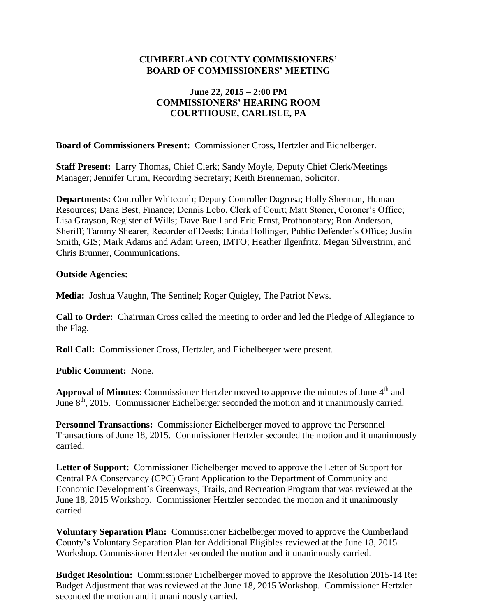#### **CUMBERLAND COUNTY COMMISSIONERS' BOARD OF COMMISSIONERS' MEETING**

### **June 22, 2015 – 2:00 PM COMMISSIONERS' HEARING ROOM COURTHOUSE, CARLISLE, PA**

**Board of Commissioners Present:** Commissioner Cross, Hertzler and Eichelberger.

**Staff Present:** Larry Thomas, Chief Clerk; Sandy Moyle, Deputy Chief Clerk/Meetings Manager; Jennifer Crum, Recording Secretary; Keith Brenneman, Solicitor.

**Departments:** Controller Whitcomb; Deputy Controller Dagrosa; Holly Sherman, Human Resources; Dana Best, Finance; Dennis Lebo, Clerk of Court; Matt Stoner, Coroner's Office; Lisa Grayson, Register of Wills; Dave Buell and Eric Ernst, Prothonotary; Ron Anderson, Sheriff; Tammy Shearer, Recorder of Deeds; Linda Hollinger, Public Defender's Office; Justin Smith, GIS; Mark Adams and Adam Green, IMTO; Heather Ilgenfritz, Megan Silverstrim, and Chris Brunner, Communications.

#### **Outside Agencies:**

**Media:** Joshua Vaughn, The Sentinel; Roger Quigley, The Patriot News.

**Call to Order:** Chairman Cross called the meeting to order and led the Pledge of Allegiance to the Flag.

**Roll Call:** Commissioner Cross, Hertzler, and Eichelberger were present.

**Public Comment:** None.

Approval of Minutes: Commissioner Hertzler moved to approve the minutes of June 4<sup>th</sup> and June 8<sup>th</sup>, 2015. Commissioner Eichelberger seconded the motion and it unanimously carried.

**Personnel Transactions:** Commissioner Eichelberger moved to approve the Personnel Transactions of June 18, 2015. Commissioner Hertzler seconded the motion and it unanimously carried.

**Letter of Support:** Commissioner Eichelberger moved to approve the Letter of Support for Central PA Conservancy (CPC) Grant Application to the Department of Community and Economic Development's Greenways, Trails, and Recreation Program that was reviewed at the June 18, 2015 Workshop. Commissioner Hertzler seconded the motion and it unanimously carried.

**Voluntary Separation Plan:** Commissioner Eichelberger moved to approve the Cumberland County's Voluntary Separation Plan for Additional Eligibles reviewed at the June 18, 2015 Workshop. Commissioner Hertzler seconded the motion and it unanimously carried.

**Budget Resolution:** Commissioner Eichelberger moved to approve the Resolution 2015-14 Re: Budget Adjustment that was reviewed at the June 18, 2015 Workshop. Commissioner Hertzler seconded the motion and it unanimously carried.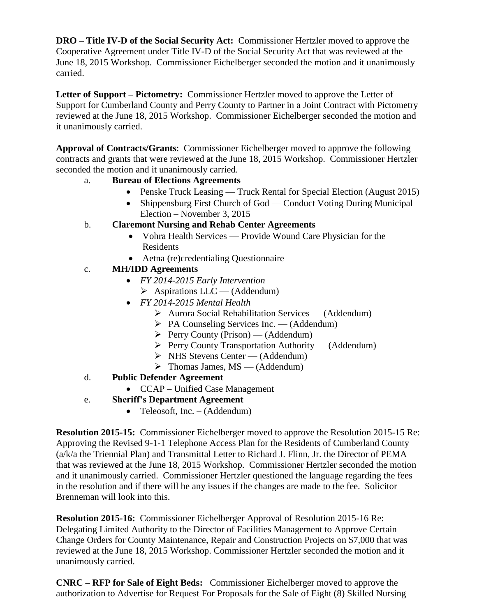**DRO – Title IV-D of the Social Security Act:** Commissioner Hertzler moved to approve the Cooperative Agreement under Title IV-D of the Social Security Act that was reviewed at the June 18, 2015 Workshop. Commissioner Eichelberger seconded the motion and it unanimously carried.

**Letter of Support – Pictometry:** Commissioner Hertzler moved to approve the Letter of Support for Cumberland County and Perry County to Partner in a Joint Contract with Pictometry reviewed at the June 18, 2015 Workshop. Commissioner Eichelberger seconded the motion and it unanimously carried.

**Approval of Contracts/Grants**: Commissioner Eichelberger moved to approve the following contracts and grants that were reviewed at the June 18, 2015 Workshop. Commissioner Hertzler seconded the motion and it unanimously carried.

## a. **Bureau of Elections Agreements**

- Penske Truck Leasing Truck Rental for Special Election (August 2015)
- Shippensburg First Church of God Conduct Voting During Municipal Election – November 3, 2015

### b. **Claremont Nursing and Rehab Center Agreements**

- Vohra Health Services Provide Wound Care Physician for the Residents
- Aetna (re)credentialing Questionnaire

# c. **MH/IDD Agreements**

- *FY 2014-2015 Early Intervention*
	- $\triangleright$  Aspirations LLC (Addendum)
- *FY 2014-2015 Mental Health*
	- $\triangleright$  Aurora Social Rehabilitation Services (Addendum)
	- $\triangleright$  PA Counseling Services Inc. (Addendum)
	- $\triangleright$  Perry County (Prison) (Addendum)
	- $\triangleright$  Perry County Transportation Authority (Addendum)
	- $\triangleright$  NHS Stevens Center (Addendum)
	- $\triangleright$  Thomas James, MS (Addendum)
- d. **Public Defender Agreement**
	- CCAP Unified Case Management

# e. **Sheriff's Department Agreement**

• Teleosoft, Inc.  $-$  (Addendum)

**Resolution 2015-15:** Commissioner Eichelberger moved to approve the Resolution 2015-15 Re: Approving the Revised 9-1-1 Telephone Access Plan for the Residents of Cumberland County (a/k/a the Triennial Plan) and Transmittal Letter to Richard J. Flinn, Jr. the Director of PEMA that was reviewed at the June 18, 2015 Workshop. Commissioner Hertzler seconded the motion and it unanimously carried. Commissioner Hertzler questioned the language regarding the fees in the resolution and if there will be any issues if the changes are made to the fee. Solicitor Brenneman will look into this.

**Resolution 2015-16:** Commissioner Eichelberger Approval of Resolution 2015-16 Re: Delegating Limited Authority to the Director of Facilities Management to Approve Certain Change Orders for County Maintenance, Repair and Construction Projects on \$7,000 that was reviewed at the June 18, 2015 Workshop. Commissioner Hertzler seconded the motion and it unanimously carried.

**CNRC – RFP for Sale of Eight Beds:** Commissioner Eichelberger moved to approve the authorization to Advertise for Request For Proposals for the Sale of Eight (8) Skilled Nursing